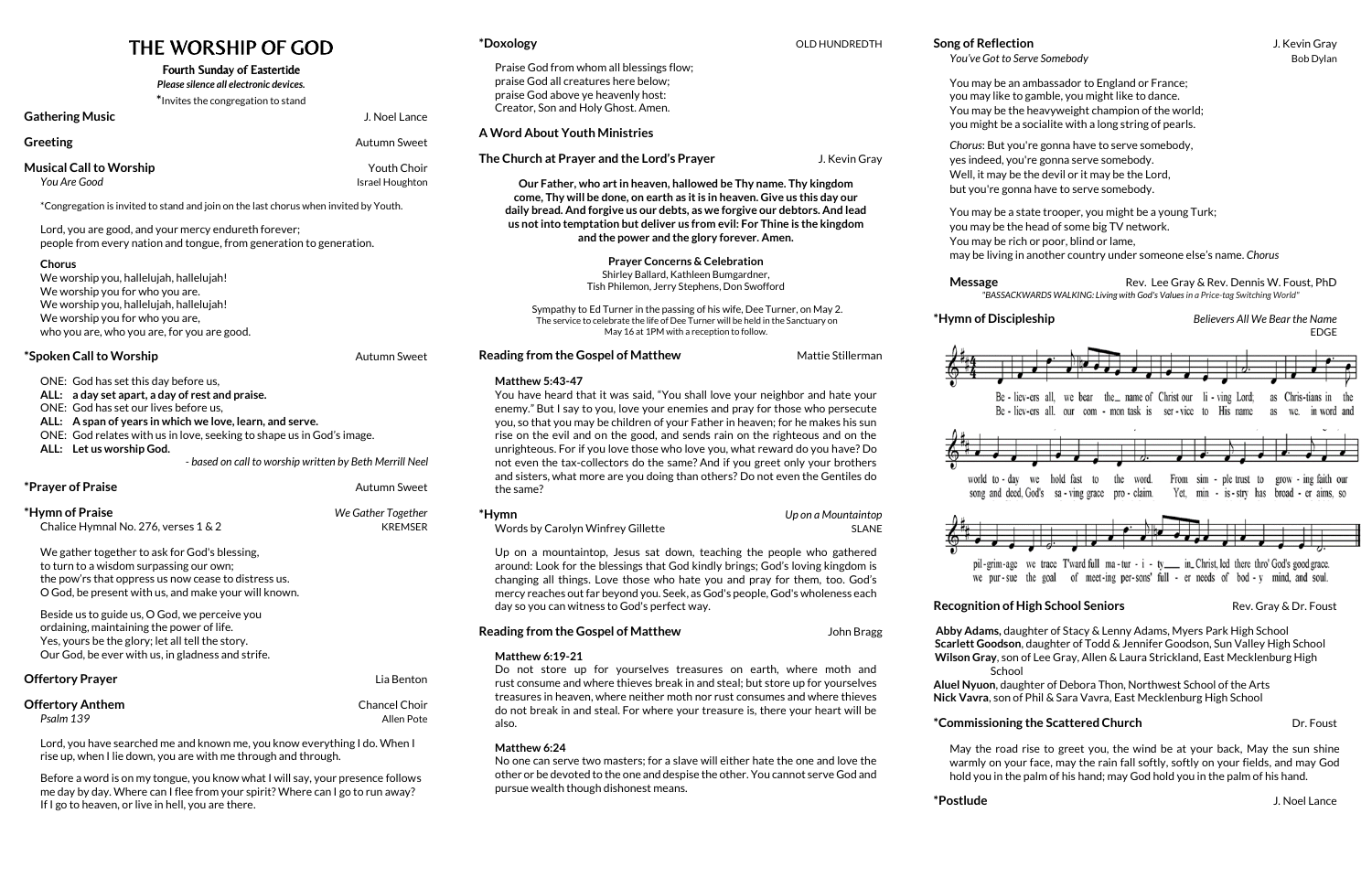# THE WORSHIP OF GOD

# Fourth Sunday of Eastertide

|                                                                                                                                                                                                                                                                                                                                                              | ilivites the congregation to stand                                                                           |                                      |  |  |
|--------------------------------------------------------------------------------------------------------------------------------------------------------------------------------------------------------------------------------------------------------------------------------------------------------------------------------------------------------------|--------------------------------------------------------------------------------------------------------------|--------------------------------------|--|--|
| <b>Gathering Music</b>                                                                                                                                                                                                                                                                                                                                       |                                                                                                              | J. Noel Lance                        |  |  |
| <b>Greeting</b>                                                                                                                                                                                                                                                                                                                                              |                                                                                                              | <b>Autumn Sweet</b>                  |  |  |
| <b>Musical Call to Worship</b><br>You Are Good                                                                                                                                                                                                                                                                                                               |                                                                                                              | Youth Choir<br>Israel Houghton       |  |  |
|                                                                                                                                                                                                                                                                                                                                                              | *Congregation is invited to stand and join on the last chorus when invited by Youth.                         |                                      |  |  |
| Lord, you are good, and your mercy endureth forever;<br>people from every nation and tongue, from generation to generation.                                                                                                                                                                                                                                  |                                                                                                              |                                      |  |  |
| <b>Chorus</b><br>We worship you, hallelujah, hallelujah!<br>We worship you for who you are.<br>We worship you, hallelujah, hallelujah!<br>We worship you for who you are,<br>who you are, who you are, for you are good.                                                                                                                                     |                                                                                                              |                                      |  |  |
| *Spoken Call to Worship                                                                                                                                                                                                                                                                                                                                      |                                                                                                              | Autumn Sweet                         |  |  |
| ONE: God has set this day before us,<br>ALL: a day set apart, a day of rest and praise.<br>ONE: God has set our lives before us,<br>ALL: A span of years in which we love, learn, and serve.<br>ONE: God relates with us in love, seeking to shape us in God's image.<br>ALL: Let us worship God.<br>- based on call to worship written by Beth Merrill Neel |                                                                                                              |                                      |  |  |
| <i><b>*Prayer of Praise</b></i>                                                                                                                                                                                                                                                                                                                              |                                                                                                              | <b>Autumn Sweet</b>                  |  |  |
| *Hymn of Praise<br>Chalice Hymnal No. 276, verses 1 & 2                                                                                                                                                                                                                                                                                                      |                                                                                                              | We Gather Together<br><b>KREMSER</b> |  |  |
| We gather together to ask for God's blessing,<br>to turn to a wisdom surpassing our own;                                                                                                                                                                                                                                                                     | the pow'rs that oppress us now cease to distress us.<br>O God, be present with us, and make your will known. |                                      |  |  |
| Beside us to guide us, O God, we perceive you<br>ordaining, maintaining the power of life.<br>Yes, yours be the glory; let all tell the story.<br>Our God, be ever with us, in gladness and strife.                                                                                                                                                          |                                                                                                              |                                      |  |  |
| <b>Offertory Prayer</b>                                                                                                                                                                                                                                                                                                                                      |                                                                                                              | Lia Benton                           |  |  |
| <b>Offertory Anthem</b><br>Psalm 139                                                                                                                                                                                                                                                                                                                         |                                                                                                              | <b>Chancel Choir</b><br>Allen Pote   |  |  |

*Please silence all electronic devices.* **\***Invites the congregation to stand

Lord, you have searched me and known me, you know everything I do. When I rise up, when I lie down, you are with me through and through.

**\*Hymn** *Up on a Mountaintop* Words by Carolyn Winfrey Gillette SLANE

Before a word is on my tongue, you know what I will say, your presence follows me day by day. Where can I flee from your spirit? Where can I go to run away? If I go to heaven, or live in hell, you are there.

# **\*Doxology** OLD HUNDREDTH

Praise God from whom all blessings flow; praise God all creatures here below; praise God above ye heavenly host: Creator, Son and Holy Ghost. Amen.

# **A Word About Youth Ministries**

**The Church at Prayer and the Lord's Prayer** J. Kevin Gray

**Our Father, who art in heaven, hallowed be Thy name. Thy kingdom come, Thy will be done, on earth as it is in heaven. Give us this day our daily bread. And forgive us our debts, as we forgive our debtors. And lead us not into temptation but deliver us from evil: For Thine is the kingdom and the power and the glory forever. Amen.**

> **Prayer Concerns & Celebration** Shirley Ballard, Kathleen Bumgardner, Tish Philemon, Jerry Stephens, Don Swofford

**Message The Rev. Lee Gray & Rev. Dennis W. Foust, PhD** *"BASSACKWARDS WALKING: Living with God's Values in a Price-tag Switching World"*

Sympathy to Ed Turner in the passing of his wife, Dee Turner, on May 2. The service to celebrate the life of Dee Turner will be held in the Sanctuary on May 16 at 1PM with a reception to follow.

# **Reading from the Gospel of Matthew Mattie Stillerman**

# **Matthew 5:43-47**

You have heard that it was said, "You shall love your neighbor and hate your enemy." But I say to you, love your enemies and pray for those who persecute you, so that you may be children of your Father in heaven; for he makes his sun rise on the evil and on the good, and sends rain on the righteous and on the unrighteous. For if you love those who love you, what reward do you have? Do not even the tax-collectors do the same? And if you greet only your brothers and sisters, what more are you doing than others? Do not even the Gentiles do the same?

Up on a mountaintop, Jesus sat down, teaching the people who gathered around: Look for the blessings that God kindly brings; God's loving kingdom is changing all things. Love those who hate you and pray for them, too. God's mercy reaches out far beyond you. Seek, as God's people, God's wholeness each day so you can witness to God's perfect way.

**Reading from the Gospel of Matthew** John Bragg

# **Matthew 6:19-21**

Do not store up for yourselves treasures on earth, where moth and rust consume and where thieves break in and steal; but store up for yourselves treasures in heaven, where neither moth nor rust consumes and where thieves do not break in and steal. For where your treasure is, there your heart will be also.

# **Matthew 6:24**

No one can serve two masters; for a slave will either hate the one and love the other or be devoted to the one and despise the other. You cannot serve God and pursue wealth though dishonest means.

# **Song of Reflection** J. Kevin Gray

You may be an ambassador to England or France; you may like to gamble, you might like to dance. You may be the heavyweight champion of the world; you might be a socialite with a long string of pearls.





| -- | $\sim$ |  |
|----|--------|--|

pil-grim-age we trace Tward full ma-tur -  $i - ty$  in Christ, led there thro' God's good grace. we pur-sue the goal of meet-ing per-sons' full - er needs of bod - y mind, and soul.

# **Recognition of High School Seniors** Rev. Gray & Dr. Foust

- *Chorus*: But you're gonna have to serve somebody,
- yes indeed, you're gonna serve somebody.
- Well, it may be the devil or it may be the Lord,
- but you're gonna have to serve somebody.
- You may be a state trooper, you might be a young Turk;
- you may be the head of some big TV network.
- You may be rich or poor, blind or lame,
- may be living in another country under someone else's name. *Chorus*

**\*Hymn of Discipleship** *Believers All We Bear the Name* EDGE

**Abby Adams,** daughter of Stacy & Lenny Adams, Myers Park High School

**Scarlett Goodson**, daughter of Todd & Jennifer Goodson, Sun Valley High School **Wilson Gray**, son of Lee Gray, Allen & Laura Strickland, East Mecklenburg High School **Aluel Nyuon**, daughter of Debora Thon, Northwest School of the Arts **Nick Vavra**, son of Phil & Sara Vavra, East Mecklenburg High School

# **\*Commissioning the Scattered Church** department of the Dr. Foust

May the road rise to greet you, the wind be at your back, May the sun shine warmly on your face, may the rain fall softly, softly on your fields, and may God hold you in the palm of his hand; may God hold you in the palm of his hand.

*You've Got to Serve Somebody* **Bob Dylan** 

**\*Postlude** J. Noel Lance